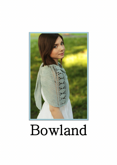

# Bowland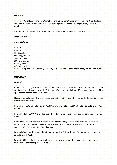## *Materials*

Approx 450m of laceweight/3-ply/light fingering weight yarn Gauge isn't so important for this knit and I'm sure it would work equally well in anything from a heavier laceweight through to sock weight.

3.75mm circular needle. I used 80cm but use whatever you are comfortable with.

Stitch markers

#### *Abbreviations*

K – Knit P – Purl Sl – Slip stitch SSK – Slip,slip,knit YO – Yarn over SM – Slip marker RS – Right side WS – Wrong side W & T – Wrap and turn. (it is only necessary to pick up and knit the wraps if they fall on a purl gutter row).

#### *Instructions*

Cast on 3 sts.

Work 50 rows in garter stitch, slipping the first stitch purlwise with yarn in front on all even numbered rows. Do not turn work. Rotate work 90 degrees and pick up 25 sts along long edge. Pick up 3 sts from cast on edge. **31 sts total.**

Place marker between 4th and 5th st and also between 27th and 28th. This marks the position of the central patterned panel.

Row 1 (RS): Sl1,K2, YO, K to marker, YO, SM, work Row 1 of panel, SM, YO, K to 3 sts before end, YO, K3. 35sts.

Row 2 (WS:)Sl1,K2, YO, K to marker, Work Row 2 of pattern panel, SM, K to 3 sts before end, YO, K3. **37sts.**

Work rows 3-33 continuing to increase as set, whilst working pattern panel from either chart or written instructions as set. Please note that there are 4 increases on every right side row and 2 increases on every wrong side row**. 137 sts.**

Row 34 (WS)(1st purl gutter ). Sl1. K2, YO, P to marker, SM, work row 10 of pattern panel, SM, P to 3 sts before end, YO, K3.

Row 35 – 39 Reverting to garter stitch for main body of shawl continue increasing as set starting from Row 11 of Pattern panel**. 151 sts**.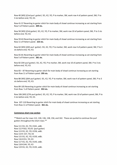Row 40 (WS) )(2nd purl gutter). Sl1, K2, YO, P to marker, SM, work row 4 of pattern panel, SM, P to 3 sts before end, YO, K3.

Row 41-57 Reverting to garter stitch for main body of shawl continue increasing as set starting from Row 5 of Pattern panel**. 209 sts.**

Row 58 (WS) )(3rd gutter). Sl1, K2, YO, P to marker, SM, work row 10 of pattern panel, SM, P to 3 sts before end, YO, K3.

Row 59-63 Reverting to garter stitch for main body of shawl continue increasing as set starting from Row 11 of Pattern panel. **223 sts.**

Row 64 (WS) )(4th purl gutter). Sl1, K2, YO, P to marker, SM, work row 4 of pattern panel, SM, P to 3 sts before end, YO, K3.

Row 65-81 Reverting to garter stitch for main body of shawl continue increasing as set starting from Row 5 of Pattern panel. **281 sts**.

Row 82 (5th purl gutter). Sl1, K2, YO, P to marker, SM, work row 10 of pattern panel, SM, P to 3 sts before end, YO, K3.

Row 83 – 87 Reverting to garter stitch for main body of shawl continue increasing as set starting from Row 11 of Pattern panel. **295 sts.**

Row 88 (WS) )(6th purl gutter). Sl1, K2, YO, P to marker, SM, work row 4 of pattern panel, SM, P to 3 sts before end, YO, K3.

Row 89-105 Reverting to garter stitch for main body of shawl continue increasing as set starting from Row 5 of Pattern panel**. 353 sts.**

Row 106 (WS) )(7th purl gutter). Sl1, K2, YO, P to marker, SM, work row 10 of pattern panel, SM, P to 3 sts before end, YO, K3.

Row 107-110 Reverting to garter stitch for main body of shawl continue increasing as set starting from Row 11 of Pattern panel. **361 sts.**

#### **Commence short row section**

\*\*Watch out for rows 112, 130, 136, 138, 156, and 162. These are purled to continue the purl gutters throughout the short rows.\*\*

Row 111 Sl1, K2, YO, K161, w&t. Row 112 P162, YO,K3 (purl gutter) Row 113 Sl1, K2, YO, K156, w&t. Row 114 K 157, YO, K3 Row 115 Sl1, K2, YO, K150, w&t. Row 116 K151, YO, K3 Row 117 Sl1, K2, YO, K143, w&t. Row 118 K144, YO, K3 Row 119 Sl1, K2, YO, K135, w&t.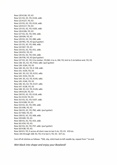Row 120 K136, YO, K3 Row 121 Sl1, K2, YO, K126, w&t. Row 122 K127, YO, K3 Row 123 Sl1, K2, YO, K116, w&t. Row 124 K117, YO, K3 Row 125 Sl1, K2, YO, K105, w&t. Row 126 K106, YO, K3 Row 127 Sl1, K2, YO, K93, w&t. Row 128 K94, YO, K3 Row 129 Sl1, K2, YO, K80, w&t. Row 130 P81, YO, K3 (purl gutter) Row 131 Sl1, K2, YO, K66, w&t. Row 132 K67, YO, K3 Row 133 Sl1, K2, YO, K51, w&t. Row 134 K52, YO, K3 Row 135 Sl1, K2, YO, K35, w&t. Row 136 P36, YO, K3 (purl gutter) Row 137 Sl1, K2, YO, K to marker, YO,SM, k to m, SM, YO, knit to 3 sts before end, YO, K3. Row 138. Sl1, K2, YO, P163, w&t. (purl gutter) Row 139. K164, YO, K3 Row 140. Sl1, K2, YO, K 158, w&t. Row 141. K159, YO, K3 Row 142. Sl1, K2, YO, K152, w&t. Row 143. K153, YO, K3 Row 144. Sl1, K2, YO, K145, w&t. Row 145. K146, YO, K3 Row 146. Sl1, K2, YO, K137, w&t. Row 147. K138, YO, K3 Row 148. Sl1, K2, YO, K128, w&t. Row 149 K129, YO, K3 Row 150 Sl1, K2, YO, K118, w&t. Row 151 K119, YO, K3 Row 152 Sl1, K2, YO, K107, w&t. Row 153 K108, YO, K3 Row 154 Sl1, K2, YO, K95, w&t. Row 155 K96, YO, K3 Row 156 Sl1, K2, YO, P82, w&t. (purl gutter) Row 157 K83, YO, K3 Row 158 Sl1, K2, YO, K68, w&t. Row 159 K69, YO, K3 Row 160 Sl1, K2, YO, K53, w&t. Row 161 K54, YO, K3. Row 162 Sl1, K2, YO, P37, w&t. (purl gutter) Row 163 K38, YO, K3. Row 164 K3, YO, K across all short rows to last 3 sts, YO, K3. 419 sts. Rows 165 through 168: K3, YO, K to last 3, YO, K3. 427 sts.

Cast off all stitches as follows: \*SSK, slip, stitch back to left needle tip, repeat from \* to end.

*Wet block into shape and enjoy your Bowland!*